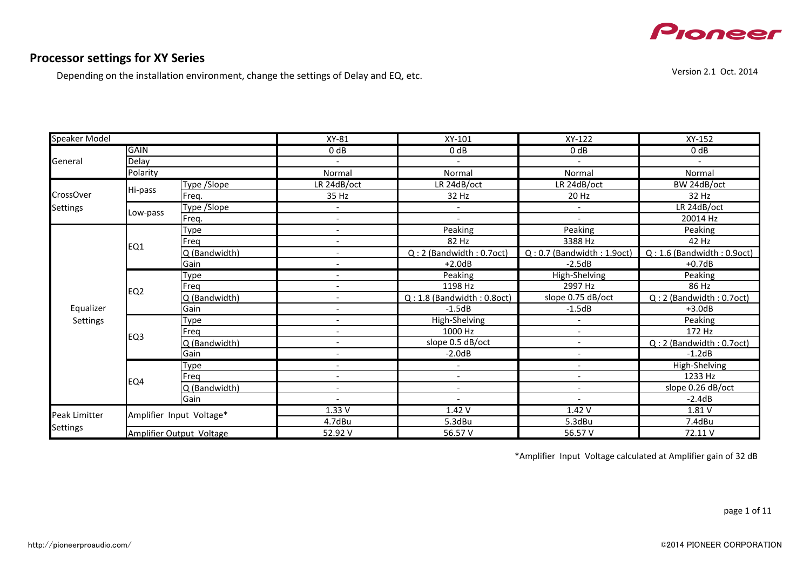

#### **Processor settings for XY Series**

Depending on the installation environment, change the settings of Delay and EQ, etc.

XY-81 XY-101 XY-122 XY-152 0 dB 0 dB 0 dB 0 dB 0 dB 0 dB - - - - Normal Normal Normal Normal Type /Slope LR 24dB/oct LR 24dB/oct LR 24dB/oct BW 24dB/oct Freq. 35 Hz 32 Hz 20 Hz 32 Hz Type /Slope - - - LR 24dB/oct Freq. - - - 20014 Hz Type - Peaking Peaking Peaking Peaking Peaking Peaking Peaking Peaking Peaking Peaking Peaking Peaking Peaking Freq 20 2 Hz 3388 Hz 42 Hz  $Q$  (Bandwidth) - Case Communication - Case Communication (Bandwidth : 0.7oct)  $Q$  : 0.7 (Bandwidth : 1.9oct)  $Q$  : 1.6 (Bandwidth : 0.9oct)<br>Gain - 2.5dB - 2.5dB - 2.5dB - 2.5dB - 2.5dB - 2.5dB - 2.5dB - 2.5dB - 2.5dB - 2 Gain +2.0dB +2.0dB +2.0dB +2.0dB +2.0dB +2.0dB +0.7dB Type - Peaking Peaking High-Shelving Peaking Peaking Peaking Peaking Peaking Peaking Peaking Peaking Peaking Peaking Freq - 1198 Hz 2997 Hz 86 Hz  $Q$  (Bandwidth) - Case Contract Contract Contract Contract Contract Contract Contract Contract Contract Contract Contract Contract Contract Contract Contract Contract Contract Contract Contract Contract Contract Contract Gain - -1.5dB -1.5dB +3.0dB Type - Peaking - High-Shelving - High-Shelving - Peaking - Peaking - Peaking - Peaking - Peaking - Peaking - Peaking Freq 172 Hz Q (Bandwidth) - slope 0.5 dB/oct - Q : 2 (Bandwidth : 0.7oct) Gain - -2.0dB - -1.2dB Type - - - High-Shelving Freq 2008 - 1233 Hz Q (Bandwidth) - - - slope 0.26 dB/oct Gain - - - -2.4dB 1.33 V 1.42 V 1.42 V 1.42 V 1.81 V 4.7dBu 5.3dBu 5.3dBu 7.4dBu 52.92 V 72.11 V 56.57 V 56.57 V 56.57 V 72.11 V EQ4 Equalizer Settings Peak Limitter Settings Amplifier Input Voltage\* Amplifier Output Voltage Speaker Model General GAIN Delay Polarity CrossOver Settings Hi-pass Low-pass EQ1 EQ2 EQ3

\*Amplifier Input Voltage calculated at Amplifier gain of 32 dB

page 1 of 11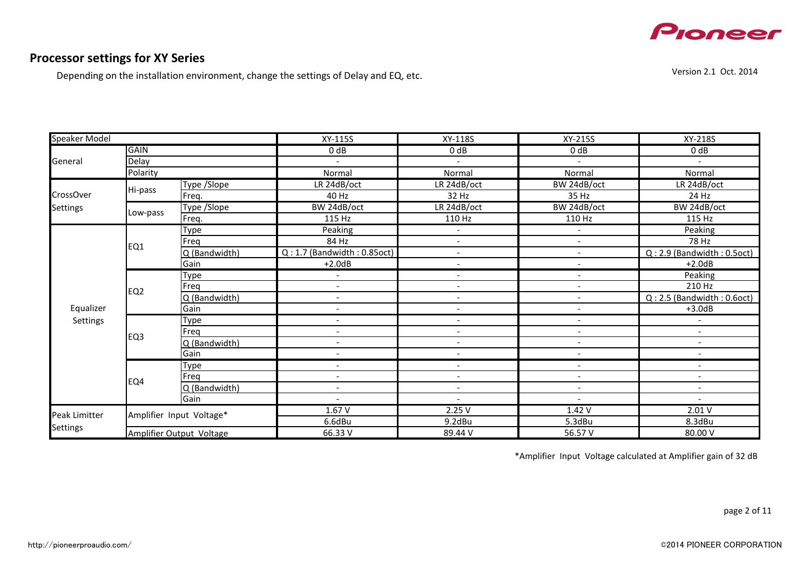

Depending on the installation environment, change the settings of Delay and EQ, etc.

Version 2.1 Oct. 2014

| <b>Speaker Model</b> |                 |                          | XY-115S                          | XY-118S                  | XY-215S                  | XY-218S                         |
|----------------------|-----------------|--------------------------|----------------------------------|--------------------------|--------------------------|---------------------------------|
|                      | <b>GAIN</b>     |                          | 0 dB                             | 0 dB                     | 0 dB                     | 0 dB                            |
| General              | <b>Delay</b>    |                          |                                  |                          |                          |                                 |
|                      | Polarity        |                          | Normal                           | Normal                   | Normal                   | Normal                          |
|                      |                 | Type /Slope              | LR 24dB/oct                      | LR 24dB/oct              | BW 24dB/oct              | LR 24dB/oct                     |
| <b>CrossOver</b>     | Hi-pass         | Freq.                    | 40 Hz                            | 32 Hz                    | 35 Hz                    | 24 Hz                           |
| <b>Settings</b>      |                 | Type /Slope              | BW 24dB/oct                      | LR 24dB/oct              | BW 24dB/oct              | BW 24dB/oct                     |
|                      | Low-pass        | Freq.                    | 115 Hz                           | 110 Hz                   | 110 Hz                   | 115 Hz                          |
|                      |                 | Type                     | Peaking                          | $\overline{\phantom{a}}$ |                          | Peaking                         |
|                      |                 | Freg                     | 84 Hz                            | $\overline{\phantom{a}}$ |                          | 78 Hz                           |
|                      | EQ1             | Q (Bandwidth)            | $Q: 1.7$ (Bandwidth: $0.85$ oct) | $\overline{\phantom{a}}$ | $\overline{\phantom{a}}$ | $Q: 2.9$ (Bandwidth: $0.5$ oct) |
|                      |                 | Gain                     | $+2.0dB$                         |                          |                          | $+2.0dB$                        |
|                      |                 | Type                     |                                  | $\overline{\phantom{a}}$ | $\overline{\phantom{a}}$ | Peaking                         |
|                      | EQ <sub>2</sub> | Freq                     | $\overline{\phantom{a}}$         |                          |                          | 210 Hz                          |
|                      |                 | Q (Bandwidth)            | $\overline{\phantom{a}}$         |                          | $\overline{\phantom{a}}$ | $Q: 2.5$ (Bandwidth: $0.6$ oct) |
| Equalizer            |                 | Gain                     | $\overline{\phantom{a}}$         |                          | $\overline{\phantom{a}}$ | $+3.0dB$                        |
| Settings             |                 | Type                     | $\overline{\phantom{a}}$         | $\overline{\phantom{a}}$ | $\overline{\phantom{a}}$ |                                 |
|                      | EQ3             | Freq                     | $\overline{\phantom{a}}$         | $\overline{\phantom{a}}$ | $\overline{\phantom{a}}$ | $\blacksquare$                  |
|                      |                 | Q (Bandwidth)            | $\qquad \qquad \blacksquare$     |                          | $\overline{\phantom{a}}$ | $\qquad \qquad \blacksquare$    |
|                      |                 | Gain                     | $\overline{\phantom{a}}$         |                          | $\overline{\phantom{a}}$ | $\overline{\phantom{a}}$        |
|                      |                 | <b>Type</b>              | $\overline{\phantom{a}}$         |                          |                          | $\overline{\phantom{a}}$        |
|                      | EQ4             | Freg                     | $\qquad \qquad \blacksquare$     |                          |                          | $\overline{\phantom{a}}$        |
|                      |                 | Q (Bandwidth)            | $\overline{\phantom{a}}$         | $\overline{\phantom{a}}$ | $\overline{\phantom{a}}$ | $\overline{\phantom{a}}$        |
|                      |                 | Gain                     |                                  |                          |                          |                                 |
| Peak Limitter        |                 | Amplifier Input Voltage* | 1.67V                            | 2.25V                    | 1.42V                    | 2.01V                           |
|                      |                 |                          | 6.6dBu                           | 9.2dBu                   | 5.3dBu                   | 8.3dBu                          |
| <b>Settings</b>      |                 | Amplifier Output Voltage | 66.33 V                          | 89.44 V                  | 56.57 V                  | 80.00 V                         |

\*Amplifier Input Voltage calculated at Amplifier gain of 32 dB

page 2 of 11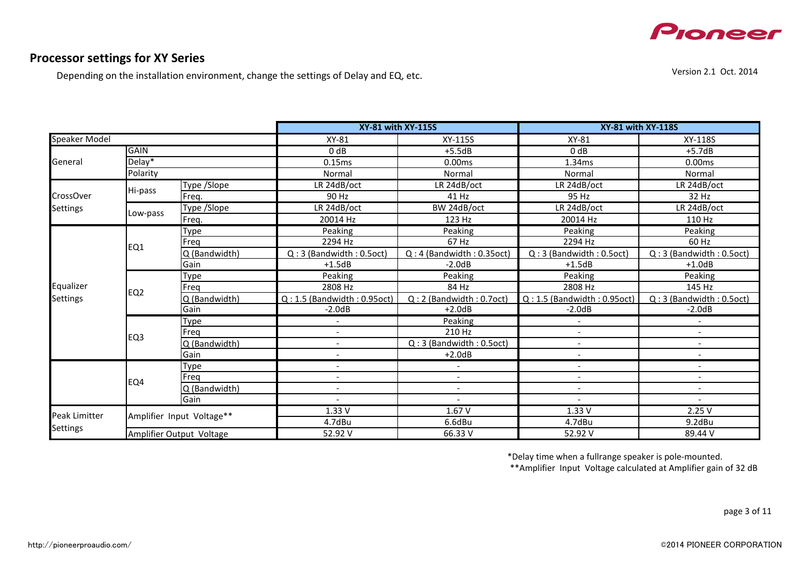

#### **Processor settings for XY Series**

Depending on the installation environment, change the settings of Delay and EQ, etc.

XY-81 XY-115S XY-81 XY-118S  $0 dB$  +5.7dB +5.5dB  $0 dB$  +5.7dB 0.15ms 0.00ms 1.34ms 0.00ms Normal Normal Normal Normal Type /Slope LR 24dB/oct LR 24dB/oct LR 24dB/oct LR 24dB/oct Freq. 90 Hz 41 Hz 95 Hz 32 Hz Type /Slope LR 24dB/oct BW 24dB/oct LR 24dB/oct LR 24dB/oct Freq. 20014 Hz 123 Hz 20014 Hz 110 Hz Type Peaking Peaking Peaking Peaking Freq 2294 Hz 67 Hz 2294 Hz 60 Hz  $\vert$  Q (Bandwidth)  $\vert$  Q : 3 (Bandwidth : 0.5oct)  $\vert$  Q : 4 (Bandwidth : 0.35oct)  $\vert$  Q : 3 (Bandwidth : 0.5oct)  $\vert$  Q : 3 (Bandwidth : 0.5oct) Gain +1.5dB +1.5dB +1.5dB -2.0dB +1.5dB +1.5dB +1.0dB Type Peaking Peaking Peaking Peaking Freq 2808 Hz 84 Hz 2808 Hz 145 Hz  $Q$  (Bandwidth)  $Q: 1.5$  (Bandwidth : 0.95oct)  $Q: 2$  (Bandwidth : 0.7oct)  $Q: 1.5$  (Bandwidth : 0.95oct)  $Q: 3$  (Bandwidth : 0.5oct)  $-2.0d$ B Gain -2.0dB +2.0dB -2.0dB -2.0dB Type and the set of the Peaking of the Peaking of the set of the set of the set of the set of the set of the s Freq - 210 Hz - - Q (Bandwidth) - Q : 3 (Bandwidth : 0.5oct) - - Gain - +2.0dB - - Type - - - - Freq - - - - Q (Bandwidth) - - - - Gain - - - - 1.33 V 1.67 V 1.33 V 2.25 V 4.7dBu 6.6dBu 4.7dBu 9.2dBu 52.92 V 66.33 V 52.92 V 89.44 V Peak Limitter Settings Amplifier Input Voltage\*\* Polarity Amplifier Output Voltage Hi-pass Low-pass Equalizer Settings EQ1 EQ2 EQ3 CrossOver Settings EQ4 **XY-81 with XY-115S XY-81 with XY-118S** Speaker Model General GAIN Delay\*

\*Delay time when a fullrange speaker is pole-mounted.

\*\*Amplifier Input Voltage calculated at Amplifier gain of 32 dB

page 3 of 11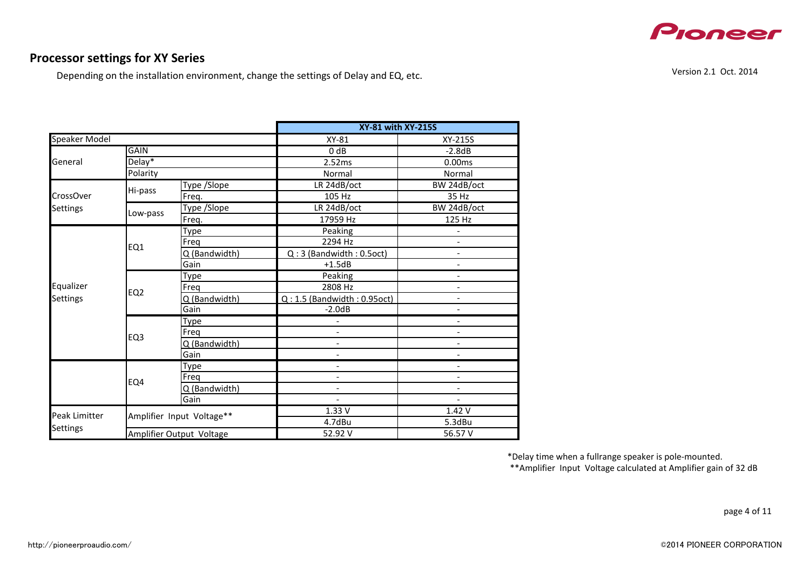

Depending on the installation environment, change the settings of Delay and EQ, etc.

|               |                 |                           | <b>XY-81 with XY-215S</b>        |                                                                                                                                                                                                                                                                                                         |  |  |  |
|---------------|-----------------|---------------------------|----------------------------------|---------------------------------------------------------------------------------------------------------------------------------------------------------------------------------------------------------------------------------------------------------------------------------------------------------|--|--|--|
| Speaker Model |                 |                           | XY-81                            | XY-215S                                                                                                                                                                                                                                                                                                 |  |  |  |
|               | <b>GAIN</b>     |                           | 0 <sub>d</sub> B                 | $-2.8dB$                                                                                                                                                                                                                                                                                                |  |  |  |
| General       | $Delay*$        |                           | 2.52ms                           | 0.00ms                                                                                                                                                                                                                                                                                                  |  |  |  |
|               | Polarity        |                           | Normal                           | Normal                                                                                                                                                                                                                                                                                                  |  |  |  |
|               |                 | Type /Slope               | LR 24dB/oct                      | BW 24dB/oct                                                                                                                                                                                                                                                                                             |  |  |  |
| CrossOver     | Hi-pass         | Freg.                     | 105 Hz                           | 35 Hz                                                                                                                                                                                                                                                                                                   |  |  |  |
| Settings      |                 | <b>Type /Slope</b>        | LR 24dB/oct                      | BW 24dB/oct                                                                                                                                                                                                                                                                                             |  |  |  |
|               | Low-pass        | Freq.                     | 17959 Hz                         | 125 Hz<br>$\overline{\phantom{0}}$<br>$\overline{\phantom{0}}$<br>$\overline{\phantom{a}}$<br>$\overline{\phantom{a}}$<br>$\overline{\phantom{0}}$<br>$\overline{a}$<br>$\overline{\phantom{0}}$<br>$\overline{\phantom{0}}$<br>$\overline{\phantom{0}}$<br>$\overline{\phantom{0}}$<br>1.42V<br>5.3dBu |  |  |  |
|               |                 | Type                      | Peaking                          |                                                                                                                                                                                                                                                                                                         |  |  |  |
|               | EQ1             | Freg                      | 2294 Hz                          |                                                                                                                                                                                                                                                                                                         |  |  |  |
|               |                 | Q (Bandwidth)             | $Q:3$ (Bandwidth: 0.5oct)        |                                                                                                                                                                                                                                                                                                         |  |  |  |
|               |                 | Gain                      | $+1.5dB$                         |                                                                                                                                                                                                                                                                                                         |  |  |  |
|               | EQ <sub>2</sub> | Type                      | Peaking                          |                                                                                                                                                                                                                                                                                                         |  |  |  |
| Equalizer     |                 | Freq                      | 2808 Hz                          |                                                                                                                                                                                                                                                                                                         |  |  |  |
| Settings      |                 | Q (Bandwidth)             | $Q: 1.5$ (Bandwidth: $0.95$ oct) |                                                                                                                                                                                                                                                                                                         |  |  |  |
|               |                 | Gain                      | $-2.0dB$                         |                                                                                                                                                                                                                                                                                                         |  |  |  |
|               |                 | Type                      |                                  |                                                                                                                                                                                                                                                                                                         |  |  |  |
|               | EQ <sub>3</sub> | Freq                      | $\overline{\phantom{0}}$         |                                                                                                                                                                                                                                                                                                         |  |  |  |
|               |                 | Q (Bandwidth)             | $\overline{\phantom{0}}$         |                                                                                                                                                                                                                                                                                                         |  |  |  |
|               |                 | Gain                      | $\overline{\phantom{0}}$         |                                                                                                                                                                                                                                                                                                         |  |  |  |
|               |                 | Type                      |                                  |                                                                                                                                                                                                                                                                                                         |  |  |  |
|               | EQ4             | Freg                      | $\overline{\phantom{0}}$         |                                                                                                                                                                                                                                                                                                         |  |  |  |
|               |                 | Q (Bandwidth)             | $\overline{\phantom{0}}$         |                                                                                                                                                                                                                                                                                                         |  |  |  |
|               |                 | Gain                      | $\overline{\phantom{0}}$         |                                                                                                                                                                                                                                                                                                         |  |  |  |
| Peak Limitter |                 | Amplifier Input Voltage** | 1.33V                            |                                                                                                                                                                                                                                                                                                         |  |  |  |
|               |                 |                           | 4.7dBu                           |                                                                                                                                                                                                                                                                                                         |  |  |  |
| Settings      |                 | Amplifier Output Voltage  | 52.92 V                          | 56.57 V                                                                                                                                                                                                                                                                                                 |  |  |  |

Version 2.1 Oct. 2014

\*Delay time when a fullrange speaker is pole-mounted. \*\*Amplifier Input Voltage calculated at Amplifier gain of 32 dB

page 4 of 11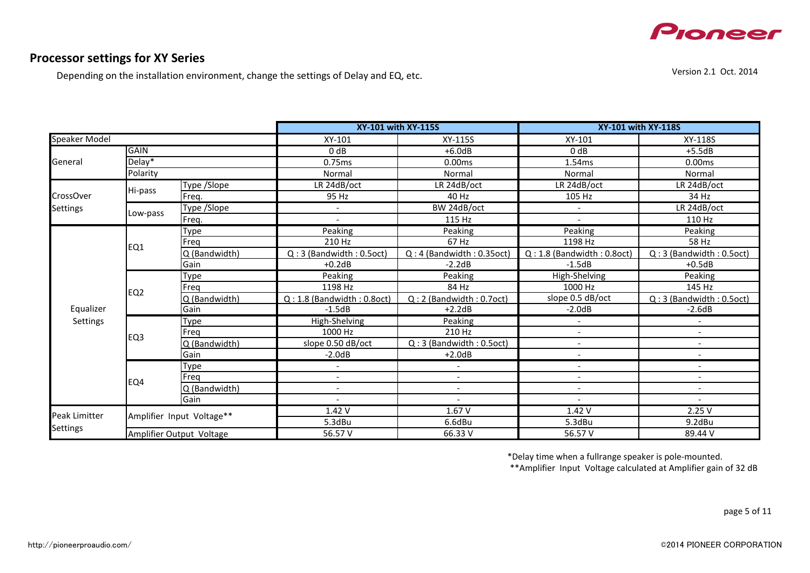

#### **Processor settings for XY Series**

Depending on the installation environment, change the settings of Delay and EQ, etc.

XY-101 XY-115S XY-101 XY-118S  $0 dB$  +5.5dB +6.0dB +5.5dB 0.75ms 0.00ms 1.54ms 0.00ms Normal Normal Normal Normal Type /Slope LR 24dB/oct LR 24dB/oct LR 24dB/oct LR 24dB/oct Freq. 95 Hz 40 Hz 105 Hz 34 Hz Type /Slope - BW 24dB/oct - LR 24dB/oct Freq. - 115 Hz - 110 Hz Type Peaking Peaking Peaking Peaking Freq 210 Hz 67 Hz 1198 Hz 58 Hz  $Q$  (Bandwidth)  $Q:3$  (Bandwidth : 0.5oct)  $Q:4$  (Bandwidth : 0.35oct)  $Q:1.8$  (Bandwidth : 0.8oct)  $Q:3$  (Bandwidth : 0.5oct) +0.2dB -2.2dB -1.5dB -1.5dB Gain +0.2dB +0.2dB -2.2dB -1.5dB +0.5dB +0.5dB Type Reaking Peaking High-Shelving Peaking Peaking Beaking Beaking Peaking Peaking Peaking Peaking Peaking Peaking Freq 1198 Hz 1198 Hz 84 Hz 1000 Hz 145 Hz  $Q$  (Bandwidth)  $Q: 1.8$  (Bandwidth : 0.8oct)  $Q: 2$  (Bandwidth : 0.7oct) slope 0.5 dB/oct  $Q: 3$  (Bandwidth : 0.5oct)<br>Gain  $+2.2$ dB  $-2.0$ dB  $-2.6$ dB Gain -1.5dB -1.5dB +2.2dB -2.0dB -2.0dB -2.6dB Type High-Shelving Peaking - - Freq 1000 Hz 210 Hz 200 Hz 200 Hz 200 Hz  $\sim$  - 1000 Hz 210 Hz  $\sim$  - 1000 Hz  $\sim$  - 1000 Hz 210 Hz  $\sim$  - 1000 Hz  $\sim$  - 1000 Hz  $\sim$  1000 Hz  $\sim$  1000 Hz  $\sim$  1000 Hz  $\sim$  1000 Hz  $\sim$  1000 Hz  $\sim$  1000 Hz  $\sim$  1000 Hz Q (Bandwidth) slope 0.50 dB/oct Q : 3 (Bandwidth : 0.5oct) - - Gain -2.0dB +2.0dB - - Type - - - - Freq - - - - Q (Bandwidth) - - - - Gain - - - - 1.42 V 1.67 V 1.42 V 2.25 V 5.3dBu 6.6dBu 5.3dBu 9.2dBu 56.57 V 66.33 V 56.57 V 89.44 V Equalizer Settings EQ1 EQ2 EQ3 EQ4 Peak Limitter Settings Amplifier Input Voltage\*\* Amplifier Output Voltage General GAIN Delay\* Polarity CrossOver Settings Low-pass **XY-101 with XY-115S XY-101 with XY-118S** Speaker Model Hi-pass

\*Delay time when a fullrange speaker is pole-mounted.

\*\*Amplifier Input Voltage calculated at Amplifier gain of 32 dB

page 5 of 11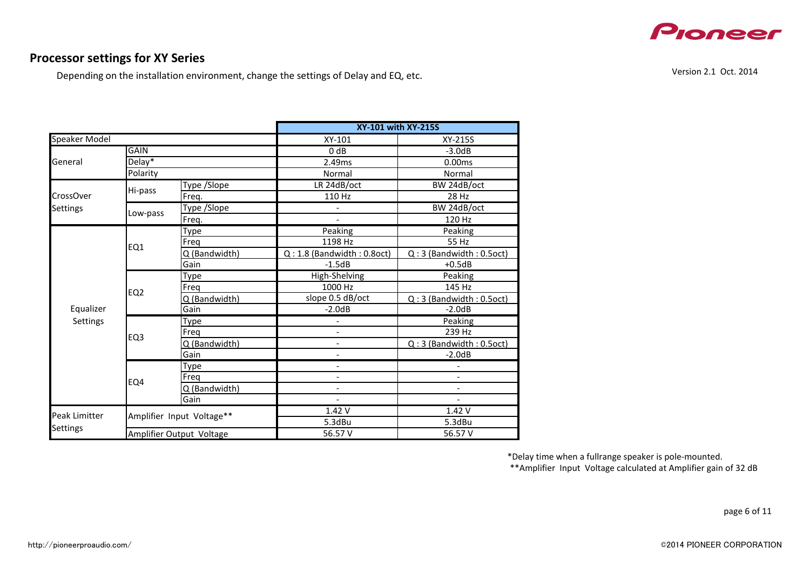

Depending on the installation environment, change the settings of Delay and EQ, etc.

|                      |                                         |                           | XY-101 with XY-215S             |                                                                                                                                                                                                                                                                                          |  |  |  |
|----------------------|-----------------------------------------|---------------------------|---------------------------------|------------------------------------------------------------------------------------------------------------------------------------------------------------------------------------------------------------------------------------------------------------------------------------------|--|--|--|
| <b>Speaker Model</b> |                                         |                           | XY-101                          | XY-215S                                                                                                                                                                                                                                                                                  |  |  |  |
|                      | <b>GAIN</b>                             |                           | 0 <sub>d</sub> B                | $-3.0dB$                                                                                                                                                                                                                                                                                 |  |  |  |
| General              | Delay*                                  |                           | 2.49ms                          | 0.00ms                                                                                                                                                                                                                                                                                   |  |  |  |
|                      | Polarity                                |                           | Normal                          | Normal                                                                                                                                                                                                                                                                                   |  |  |  |
|                      |                                         | Type /Slope               | LR 24dB/oct                     | BW 24dB/oct                                                                                                                                                                                                                                                                              |  |  |  |
| CrossOver            | Hi-pass                                 | Freq.                     | 110 Hz                          | 28 Hz                                                                                                                                                                                                                                                                                    |  |  |  |
| Settings             | <b>Type /Slope</b><br>Low-pass<br>Freq. |                           | BW 24dB/oct                     |                                                                                                                                                                                                                                                                                          |  |  |  |
|                      |                                         |                           |                                 | 120 Hz<br>Peaking<br>55 Hz<br>$Q:3$ (Bandwidth: $0.5$ oct)<br>$+0.5dB$<br>Peaking<br>145 Hz<br>$Q:3$ (Bandwidth: 0.5oct)<br>$-2.0dB$<br>Peaking<br>239 Hz<br>$Q:3$ (Bandwidth: 0.5oct)<br>$-2.0dB$<br>$\overline{\phantom{0}}$<br>$\overline{\phantom{0}}$<br>1.42V<br>5.3dBu<br>56.57 V |  |  |  |
|                      |                                         | Type                      | Peaking                         |                                                                                                                                                                                                                                                                                          |  |  |  |
|                      | EQ1                                     | Frea                      | 1198 Hz                         |                                                                                                                                                                                                                                                                                          |  |  |  |
|                      |                                         | Q (Bandwidth)             | $Q: 1.8$ (Bandwidth: $0.8$ oct) |                                                                                                                                                                                                                                                                                          |  |  |  |
|                      |                                         | Gain                      | $-1.5dB$                        |                                                                                                                                                                                                                                                                                          |  |  |  |
|                      | EQ <sub>2</sub>                         | Type                      | High-Shelving                   |                                                                                                                                                                                                                                                                                          |  |  |  |
|                      |                                         | Freq                      | 1000 Hz                         |                                                                                                                                                                                                                                                                                          |  |  |  |
|                      |                                         | Q (Bandwidth)             | slope 0.5 dB/oct                |                                                                                                                                                                                                                                                                                          |  |  |  |
| Equalizer            |                                         | Gain                      | $-2.0dB$                        |                                                                                                                                                                                                                                                                                          |  |  |  |
| Settings             | EQ <sub>3</sub>                         | Type                      |                                 |                                                                                                                                                                                                                                                                                          |  |  |  |
|                      |                                         | Freg                      |                                 |                                                                                                                                                                                                                                                                                          |  |  |  |
|                      |                                         | Q (Bandwidth)             | $\overline{\phantom{a}}$        |                                                                                                                                                                                                                                                                                          |  |  |  |
|                      |                                         | Gain                      | $\overline{\phantom{a}}$        |                                                                                                                                                                                                                                                                                          |  |  |  |
|                      |                                         | Type                      | $\overline{\phantom{a}}$        |                                                                                                                                                                                                                                                                                          |  |  |  |
|                      | EQ4                                     | Freg                      | $\overline{\phantom{a}}$        |                                                                                                                                                                                                                                                                                          |  |  |  |
|                      |                                         | Q (Bandwidth)             | $\overline{\phantom{a}}$        |                                                                                                                                                                                                                                                                                          |  |  |  |
|                      |                                         | Gain                      |                                 |                                                                                                                                                                                                                                                                                          |  |  |  |
| Peak Limitter        |                                         | Amplifier Input Voltage** | 1.42V                           |                                                                                                                                                                                                                                                                                          |  |  |  |
| Settings             |                                         |                           | 5.3dBu                          |                                                                                                                                                                                                                                                                                          |  |  |  |
|                      | Amplifier Output Voltage                |                           | 56.57 V                         |                                                                                                                                                                                                                                                                                          |  |  |  |

Version 2.1 Oct. 2014

\*\*Amplifier Input Voltage calculated at Amplifier gain of 32 dB \*Delay time when a fullrange speaker is pole-mounted.

page 6 of 11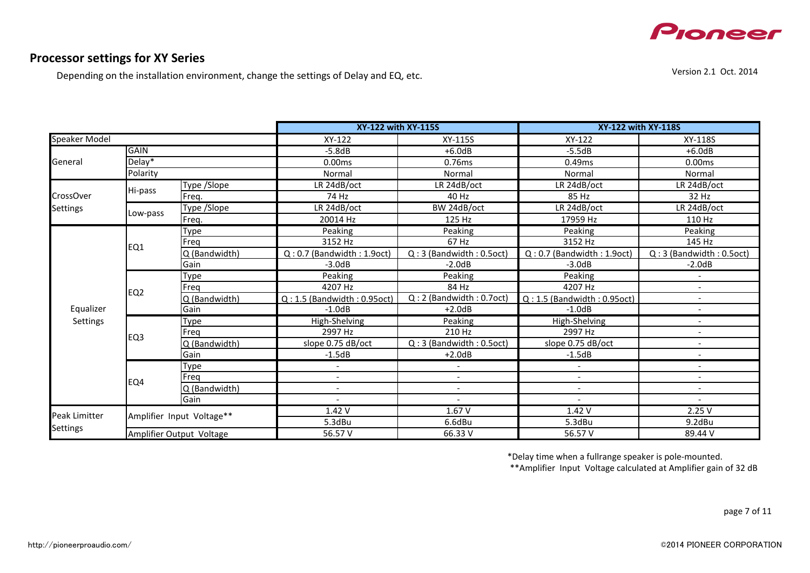

Depending on the installation environment, change the settings of Delay and EQ, etc.

Version 2.1 Oct. 2014

|                  |                          |                           | XY-122 with XY-115S              |                           | XY-122 with XY-118S           |                           |
|------------------|--------------------------|---------------------------|----------------------------------|---------------------------|-------------------------------|---------------------------|
| Speaker Model    |                          |                           | XY-122                           | XY-115S                   | XY-122                        | XY-118S                   |
|                  | <b>GAIN</b>              |                           | $-5.8dB$                         | $+6.0dB$                  | $-5.5dB$                      | $+6.0dB$                  |
| General          | Delay <sup>*</sup>       |                           | 0.00ms                           | 0.76ms                    | 0.49ms                        | 0.00ms                    |
|                  | Polarity                 |                           | Normal                           | Normal                    | Normal                        | Normal                    |
|                  |                          | Type /Slope               | LR 24dB/oct                      | LR 24dB/oct               | LR 24dB/oct                   | LR 24dB/oct               |
| <b>CrossOver</b> | Hi-pass                  | Freq.                     | 74 Hz                            | 40 Hz                     | 85 Hz                         | 32 Hz                     |
| <b>Settings</b>  | Low-pass                 | Type /Slope               | LR 24dB/oct                      | BW 24dB/oct               | LR 24dB/oct                   | LR 24dB/oct               |
|                  |                          | Freq.                     | 20014 Hz                         | 125 Hz                    | 17959 Hz                      | 110 Hz                    |
|                  |                          | Type                      | Peaking                          | Peaking                   | Peaking                       | Peaking                   |
|                  | EQ1                      | Freg                      | 3152 Hz                          | 67 Hz                     | 3152 Hz                       | 145 Hz                    |
|                  |                          | Q (Bandwidth)             | $Q: 0.7$ (Bandwidth: 1.9oct)     | $Q:3$ (Bandwidth: 0.5oct) | $Q: 0.7$ (Bandwidth: 1.9oct)  | $Q:3$ (Bandwidth: 0.5oct) |
|                  |                          | Gain                      | $-3.0dB$                         | $-2.0dB$                  | $-3.0dB$                      | $-2.0dB$                  |
|                  | EQ <sub>2</sub>          | Type                      | Peaking                          | Peaking                   | Peaking                       |                           |
|                  |                          | Freg                      | 4207 Hz                          | 84 Hz                     | 4207 Hz                       |                           |
|                  |                          | Q (Bandwidth)             | $Q: 1.5$ (Bandwidth: $0.95$ oct) | Q: 2 (Bandwidth: 0.7oct)  | $Q: 1.5$ (Bandwidth: 0.95oct) |                           |
| Equalizer        |                          | Gain                      | $-1.0dB$                         | $+2.0dB$                  | $-1.0dB$                      | $\overline{\phantom{a}}$  |
| Settings         |                          | Type                      | High-Shelving                    | Peaking                   | High-Shelving                 |                           |
|                  | EQ3                      | Freg                      | 2997 Hz                          | 210 Hz                    | 2997 Hz                       |                           |
|                  |                          | Q (Bandwidth)             | slope 0.75 dB/oct                | $Q:3$ (Bandwidth: 0.5oct) | slope 0.75 dB/oct             |                           |
|                  |                          | Gain                      | $-1.5dB$                         | $+2.0dB$                  | $-1.5dB$                      |                           |
|                  |                          | Type                      |                                  |                           |                               |                           |
|                  | EQ4                      | Frea                      | $\overline{\phantom{a}}$         |                           | $\overline{\phantom{a}}$      |                           |
|                  |                          | Q (Bandwidth)             | $\overline{\phantom{a}}$         | $\overline{\phantom{a}}$  | $\overline{\phantom{a}}$      | $\overline{\phantom{a}}$  |
|                  |                          | Gain                      | $\overline{\phantom{a}}$         | $\overline{\phantom{a}}$  | $\overline{\phantom{a}}$      | $\overline{\phantom{a}}$  |
| Peak Limitter    |                          | Amplifier Input Voltage** | 1.42 V                           | 1.67V                     | 1.42V                         | 2.25V                     |
|                  |                          |                           | 5.3dBu                           | 6.6dBu                    | 5.3dBu                        | 9.2dBu                    |
| Settings         | Amplifier Output Voltage |                           | 56.57 V                          | 66.33 V                   | 56.57 V                       | 89.44 V                   |

\*Delay time when a fullrange speaker is pole-mounted.

\*\*Amplifier Input Voltage calculated at Amplifier gain of 32 dB

page 7 of 11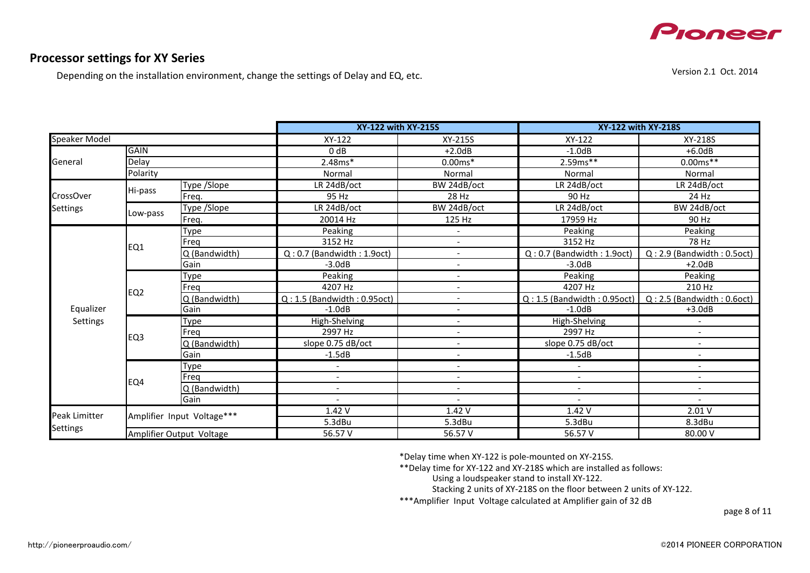

Depending on the installation environment, change the settings of Delay and EQ, etc.

Version 2.1 Oct. 2014

|                      |                          |                            | XY-122 with XY-215S           |                          |                               | XY-122 with XY-218S             |  |
|----------------------|--------------------------|----------------------------|-------------------------------|--------------------------|-------------------------------|---------------------------------|--|
| Speaker Model        |                          | XY-122                     | XY-215S                       | XY-122                   | XY-218S                       |                                 |  |
|                      | <b>GAIN</b>              |                            | 0 dB                          | $+2.0dB$                 | $-1.0dB$                      | $+6.0dB$                        |  |
| General              | Delay                    |                            | $2.48ms*$                     | $0.00ms*$                | $2.59ms***$                   | $0.00ms***$                     |  |
|                      | Polarity                 |                            | Normal                        | Normal                   | Normal                        | Normal                          |  |
|                      |                          | Type /Slope                | LR 24dB/oct                   | BW 24dB/oct              | LR 24dB/oct                   | LR 24dB/oct                     |  |
| <b>CrossOver</b>     | Hi-pass                  | Freq.                      | 95 Hz                         | 28 Hz                    | 90 Hz                         | 24 Hz                           |  |
| <b>Settings</b>      |                          | Type /Slope                | LR 24dB/oct                   | BW 24dB/oct              | LR 24dB/oct                   | BW 24dB/oct                     |  |
|                      | Low-pass                 | Freq.                      | 20014 Hz                      | 125 Hz                   | 17959 Hz                      | 90 Hz                           |  |
|                      |                          | Type                       | Peaking                       |                          | Peaking                       | Peaking                         |  |
|                      | EQ1                      | Freg                       | 3152 Hz                       | $\overline{\phantom{a}}$ | 3152 Hz                       | 78 Hz                           |  |
|                      |                          | Q (Bandwidth)              | $Q: 0.7$ (Bandwidth: 1.9oct)  |                          | $Q: 0.7$ (Bandwidth: 1.9oct)  | $Q: 2.9$ (Bandwidth: $0.5$ oct) |  |
|                      |                          | Gain                       | $-3.0dB$                      |                          | $-3.0dB$                      | $+2.0dB$                        |  |
|                      | EQ <sub>2</sub>          | Type                       | Peaking                       | $\overline{\phantom{a}}$ | Peaking                       | Peaking                         |  |
|                      |                          | Freq                       | 4207 Hz                       |                          | 4207 Hz                       | 210 Hz                          |  |
|                      |                          | Q (Bandwidth)              | $Q: 1.5$ (Bandwidth: 0.95oct) | $\overline{\phantom{a}}$ | $Q: 1.5$ (Bandwidth: 0.95oct) | $Q: 2.5$ (Bandwidth: $0.6$ oct) |  |
| Equalizer            |                          | Gain                       | $-1.0dB$                      | $\overline{\phantom{a}}$ | $-1.0dB$                      | $+3.0dB$                        |  |
| Settings             |                          | <b>Type</b>                | High-Shelving                 |                          | High-Shelving                 |                                 |  |
|                      | EQ <sub>3</sub>          | Freg                       | 2997 Hz                       |                          | 2997 Hz                       | $\overline{a}$                  |  |
|                      |                          | Q (Bandwidth)              | slope 0.75 dB/oct             | $\overline{\phantom{a}}$ | slope 0.75 dB/oct             | $\overline{\phantom{a}}$        |  |
|                      |                          | Gain                       | $-1.5dB$                      | $\overline{\phantom{a}}$ | $-1.5dB$                      | $\overline{\phantom{a}}$        |  |
|                      |                          | Type                       |                               |                          |                               | $\overline{\phantom{a}}$        |  |
|                      | EQ4                      | Freq                       | $\overline{\phantom{a}}$      | $\overline{\phantom{a}}$ | $\overline{\phantom{a}}$      | $\overline{\phantom{a}}$        |  |
|                      |                          | Q (Bandwidth)              | $\overline{\phantom{a}}$      |                          |                               | $\overline{\phantom{a}}$        |  |
|                      |                          | Gain                       |                               |                          |                               |                                 |  |
| <b>Peak Limitter</b> |                          | Amplifier Input Voltage*** | 1.42V                         | 1.42V                    | 1.42V                         | 2.01V                           |  |
|                      |                          |                            | 5.3dBu                        | 5.3dBu                   | 5.3dBu                        | 8.3dBu                          |  |
| <b>Settings</b>      | Amplifier Output Voltage |                            | 56.57 V                       | 56.57 V                  | 56.57 V                       | 80.00 V                         |  |

\*Delay time when XY-122 is pole-mounted on XY-215S.

\*\*Delay time for XY-122 and XY-218S which are installed as follows:

Using a loudspeaker stand to install XY-122.

Stacking 2 units of XY-218S on the floor between 2 units of XY-122.

\*\*\*Amplifier Input Voltage calculated at Amplifier gain of 32 dB

page 8 of 11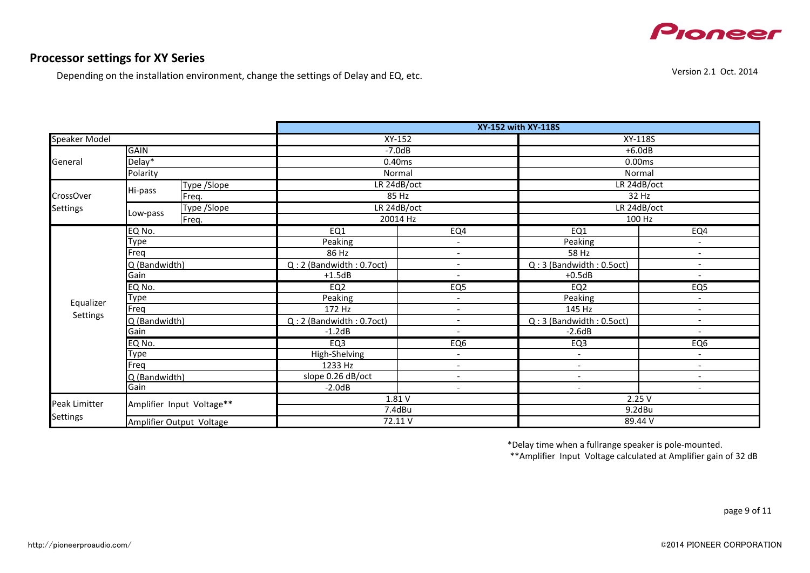

## **Processor settings for XY Series**

Depending on the installation environment, change the settings of Delay and EQ, etc.

|                      |                                 |                           | <b>XY-152 with XY-118S</b> |                          |                           |                              |  |  |
|----------------------|---------------------------------|---------------------------|----------------------------|--------------------------|---------------------------|------------------------------|--|--|
| <b>Speaker Model</b> |                                 |                           | $XY-152$                   |                          | XY-118S                   |                              |  |  |
|                      | <b>GAIN</b>                     |                           | $-7.0dB$                   |                          |                           | $+6.0dB$                     |  |  |
| General              | Delay*                          |                           | 0.40ms                     |                          | 0.00ms                    |                              |  |  |
|                      | Polarity                        |                           | Normal                     |                          | Normal                    |                              |  |  |
|                      |                                 | Type /Slope               | LR 24dB/oct                |                          | LR 24dB/oct               |                              |  |  |
| CrossOver            | Hi-pass                         | Freq.                     | 85 Hz                      |                          | 32 Hz                     |                              |  |  |
| <b>Settings</b>      |                                 | Type /Slope               | LR 24dB/oct                |                          | LR 24dB/oct               |                              |  |  |
|                      | Low-pass                        | Freq.                     | 20014 Hz                   |                          | 100 Hz                    |                              |  |  |
|                      | EQ No.                          |                           | EQ1                        | EQ4                      | EQ1                       | EQ4                          |  |  |
|                      | Type                            |                           | Peaking                    | $\overline{\phantom{a}}$ | Peaking                   | $\overline{\phantom{a}}$     |  |  |
|                      | Freq                            |                           | 86 Hz                      | $\overline{\phantom{a}}$ | 58 Hz                     | $\overline{\phantom{a}}$     |  |  |
|                      | Q (Bandwidth)                   |                           | Q: 2 (Bandwidth: 0.7oct)   | $\overline{\phantom{a}}$ | Q:3 (Bandwidth: 0.5oct)   | $\overline{\phantom{a}}$     |  |  |
|                      | Gain                            |                           | $+1.5dB$                   | $\overline{\phantom{a}}$ | $+0.5dB$                  | $\overline{\phantom{a}}$     |  |  |
|                      | EQ No.                          |                           | EQ2                        | EQ <sub>5</sub>          | EQ2                       | EQ5                          |  |  |
| Equalizer            | Type                            |                           | Peaking                    | $\overline{\phantom{a}}$ | Peaking                   | $\overline{\phantom{a}}$     |  |  |
|                      | Freq                            |                           | 172 Hz                     | $\overline{\phantom{a}}$ | 145 Hz                    | $\overline{a}$               |  |  |
| Settings             | Q (Bandwidth)                   |                           | $Q: 2$ (Bandwidth: 0.7oct) | $\overline{\phantom{a}}$ | $Q:3$ (Bandwidth: 0.5oct) | $\blacksquare$               |  |  |
|                      | Gain                            |                           | $-1.2dB$                   | $\overline{\phantom{a}}$ | $-2.6dB$                  | $\overline{\phantom{a}}$     |  |  |
|                      | EQ No.                          |                           | EQ3                        | EQ <sub>6</sub>          | EQ <sub>3</sub>           | EQ <sub>6</sub>              |  |  |
|                      | Type                            |                           | High-Shelving              | $\overline{\phantom{a}}$ | $\overline{\phantom{a}}$  | $\overline{\phantom{a}}$     |  |  |
|                      | Freq                            |                           | 1233 Hz                    | $\overline{\phantom{a}}$ | $\overline{\phantom{a}}$  | $\overline{\phantom{a}}$     |  |  |
|                      | Q (Bandwidth)                   |                           | slope 0.26 dB/oct          | $\overline{\phantom{a}}$ | $\overline{\phantom{a}}$  | $\qquad \qquad \blacksquare$ |  |  |
|                      | Gain                            |                           | $-2.0dB$                   | $\overline{\phantom{a}}$ |                           |                              |  |  |
| Peak Limitter        |                                 | Amplifier Input Voltage** | 1.81V                      |                          |                           | 2.25V                        |  |  |
|                      |                                 |                           | 7.4dBu                     |                          | 9.2dBu                    |                              |  |  |
| <b>Settings</b>      | <b>Amplifier Output Voltage</b> |                           |                            | 72.11V                   |                           | 89.44 V                      |  |  |

\*Delay time when a fullrange speaker is pole-mounted.

\*\*Amplifier Input Voltage calculated at Amplifier gain of 32 dB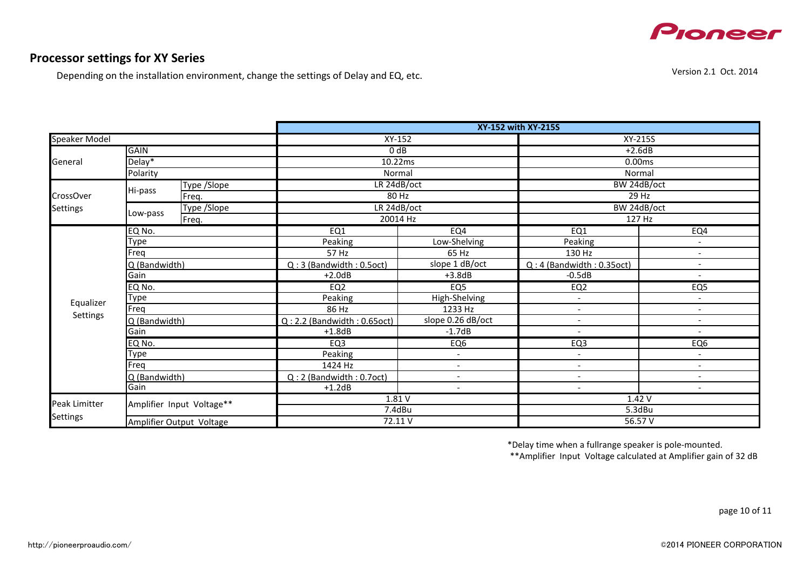

## **Processor settings for XY Series**

Depending on the installation environment, change the settings of Delay and EQ, etc.

|                      |                          |                           | XY-152 with XY-215S              |                          |                           |                          |  |  |
|----------------------|--------------------------|---------------------------|----------------------------------|--------------------------|---------------------------|--------------------------|--|--|
| <b>Speaker Model</b> |                          |                           |                                  | $XY-152$                 |                           | XY-215S                  |  |  |
|                      | <b>GAIN</b>              |                           |                                  | 0 <sub>d</sub> B         |                           | $+2.6dB$                 |  |  |
| General              | Delay*                   |                           | 10.22ms                          |                          | 0.00ms                    |                          |  |  |
|                      | Polarity                 |                           |                                  | Normal                   |                           | Normal                   |  |  |
|                      | Type / Slope             |                           | LR 24dB/oct                      |                          | BW 24dB/oct               |                          |  |  |
| <b>CrossOver</b>     | Hi-pass                  | Freq.                     | 80 Hz                            |                          | 29 Hz                     |                          |  |  |
| <b>Settings</b>      |                          | <b>Type /Slope</b>        | LR 24dB/oct                      |                          | BW 24dB/oct               |                          |  |  |
|                      | Low-pass                 | Freq.                     | 20014 Hz                         |                          | 127 Hz                    |                          |  |  |
|                      | EQ No.                   |                           | EQ1                              | EQ4                      | EQ1                       | EQ4                      |  |  |
|                      | Type                     |                           | Peaking                          | Low-Shelving             | Peaking                   | $\overline{\phantom{a}}$ |  |  |
|                      | Freg                     |                           | 57 Hz                            | 65 Hz                    | 130 Hz                    | $\overline{\phantom{a}}$ |  |  |
|                      | Q (Bandwidth)            |                           | Q: 3 (Bandwidth: 0.5oct)         | slope 1 dB/oct           | Q: 4 (Bandwidth: 0.35oct) |                          |  |  |
|                      | Gain                     |                           | $+2.0dB$                         | $+3.8dB$                 | $-0.5dB$                  | $\overline{\phantom{a}}$ |  |  |
|                      | EQ No.                   |                           | EQ <sub>2</sub>                  | EQ <sub>5</sub>          | EQ <sub>2</sub>           | EQ <sub>5</sub>          |  |  |
| Equalizer            | Type                     |                           | Peaking                          | High-Shelving            | $\overline{\phantom{a}}$  | $\overline{\phantom{a}}$ |  |  |
|                      | Freq                     |                           | 86 Hz                            | 1233 Hz                  | $\overline{a}$            | $\overline{\phantom{a}}$ |  |  |
| Settings             | Q (Bandwidth)            |                           | $Q: 2.2$ (Bandwidth: $0.65$ oct) | slope 0.26 dB/oct        | $\overline{\phantom{a}}$  | $\overline{\phantom{a}}$ |  |  |
|                      | Gain                     |                           | $+1.8dB$                         | $-1.7dB$                 | $\tilde{\phantom{a}}$     | $\overline{\phantom{a}}$ |  |  |
|                      | EQ No.                   |                           | EQ <sub>3</sub>                  | EQ <sub>6</sub>          | EQ <sub>3</sub>           | EQ <sub>6</sub>          |  |  |
|                      | Type                     |                           | Peaking                          | $\overline{\phantom{a}}$ | $\overline{\phantom{a}}$  | $\overline{\phantom{a}}$ |  |  |
|                      | Freg                     |                           | 1424 Hz                          | $\blacksquare$           | $\overline{\phantom{a}}$  | $\overline{\phantom{a}}$ |  |  |
|                      | Q (Bandwidth)            |                           | $Q: 2$ (Bandwidth: 0.7oct)       | $\overline{\phantom{a}}$ | $\overline{\phantom{a}}$  | $\overline{\phantom{a}}$ |  |  |
|                      | Gain                     |                           | $+1.2dB$                         | $\overline{\phantom{a}}$ | $\overline{\phantom{a}}$  |                          |  |  |
| Peak Limitter        |                          | Amplifier Input Voltage** |                                  | 1.81V                    |                           | 1.42V                    |  |  |
| <b>Settings</b>      |                          |                           | 7.4dBu                           |                          | 5.3dBu                    |                          |  |  |
|                      | Amplifier Output Voltage |                           | 72.11V                           |                          | 56.57 V                   |                          |  |  |

\*Delay time when a fullrange speaker is pole-mounted.

\*\*Amplifier Input Voltage calculated at Amplifier gain of 32 dB